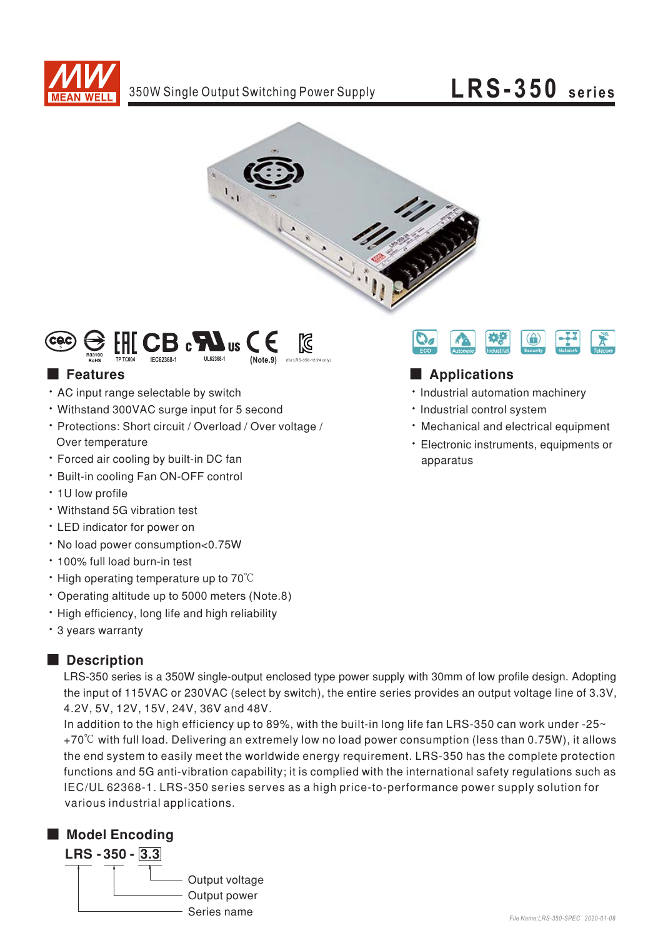





### ■ **Feature**

- AC input range selectable by switch
- · Withstand 300VAC surge input for 5 second
- Protections: Short circuit / Overload / Over voltage / Over temperature
- Forced air cooling by built-in DC fan
- Built-in cooling Fan ON-OFF control
- 1U low profile
- Withstand 5G vibration test
- LED indicator for power on
- No load power consumption<0.75W
- · 100% full load burn-in test
- $\cdot$  High operating temperature up to 70 $^{\circ}$ C
- $\cdot$  Operating altitude up to 5000 meters (Note.8)
- High efficiency, long life and high reliability
- · 3 years warranty

#### ■ **Description**

LRS-350 series is a 350W single-output enclosed type power supply with 30mm of low profile design. Adopting in the input of 115VAC or 230VAC (select by switch), the entire series provides an output voltage line of 3.3V, 4.2V, 5V, 12V, 15V, 24V, 36V and 48V.

functions and 5G anti-vibration capability; it is complied with the international safety regulations such as  $\;$ IEC/UL 62368-1. LRS-350 series serves as a high price-to-performance power supply solution for various industrial applications. In addition to the high efficiency up to 89%, with the built-in long life fan LRS-350 can work under -25~ +70°C with full load. Delivering an extremely low no load power consumption (less than 0.75W), it allows the end system to easily meet the worldwide energy requirement. LRS-350 has the complete protection

## ■ **Model Encoding**





### ■ **Applications**

- Industrial automation machinery
- Industrial control system
- Mechanical and electrical equipment
- · Electronic instruments, equipments or apparatus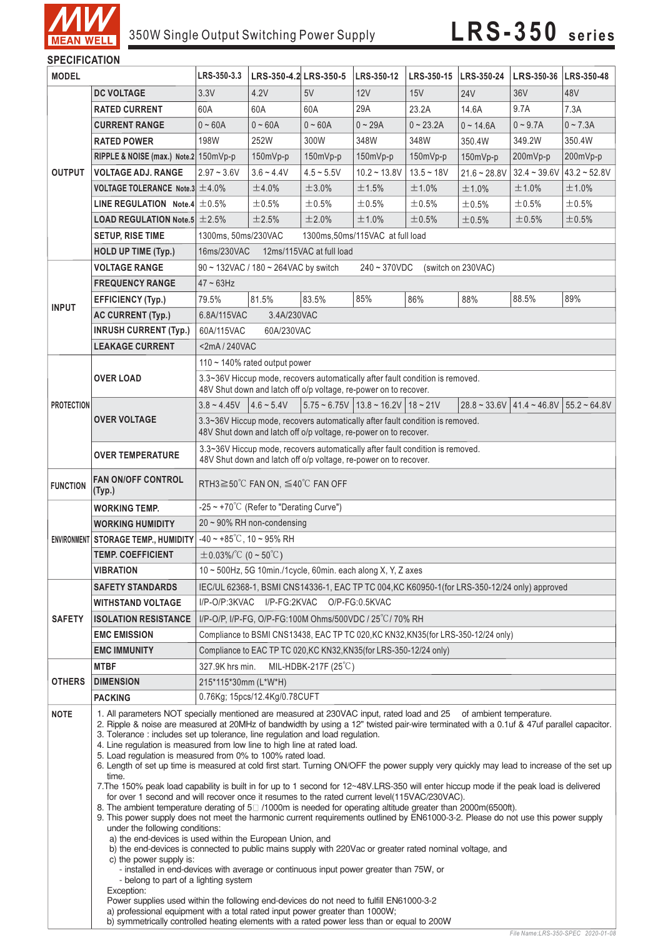

#### **SPECIFICATION**

| <b>MODEL</b>      |                                                                                                                                                                                                                                                                                                                                                                                                                                                                                                                                                                                                                                                                                                                                                                                                                                                                                                                                                                                                                                                                                                                                                                                                                                                                                                                                                                                                                                                                                                                                                                                                                                                                                                                      | LRS-350-3.3                                                                                                                                       | LRS-350-4.2 LRS-350-5              |                 | LRS-350-12                                  | LRS-350-15   | LRS-350-24     | LRS-350-36       | LRS-350-48           |
|-------------------|----------------------------------------------------------------------------------------------------------------------------------------------------------------------------------------------------------------------------------------------------------------------------------------------------------------------------------------------------------------------------------------------------------------------------------------------------------------------------------------------------------------------------------------------------------------------------------------------------------------------------------------------------------------------------------------------------------------------------------------------------------------------------------------------------------------------------------------------------------------------------------------------------------------------------------------------------------------------------------------------------------------------------------------------------------------------------------------------------------------------------------------------------------------------------------------------------------------------------------------------------------------------------------------------------------------------------------------------------------------------------------------------------------------------------------------------------------------------------------------------------------------------------------------------------------------------------------------------------------------------------------------------------------------------------------------------------------------------|---------------------------------------------------------------------------------------------------------------------------------------------------|------------------------------------|-----------------|---------------------------------------------|--------------|----------------|------------------|----------------------|
|                   | <b>DC VOLTAGE</b>                                                                                                                                                                                                                                                                                                                                                                                                                                                                                                                                                                                                                                                                                                                                                                                                                                                                                                                                                                                                                                                                                                                                                                                                                                                                                                                                                                                                                                                                                                                                                                                                                                                                                                    | 3.3V                                                                                                                                              | 4.2V                               | 5V              | 12V                                         | 15V          | <b>24V</b>     | 36V              | 48V                  |
| <b>OUTPUT</b>     | <b>RATED CURRENT</b>                                                                                                                                                                                                                                                                                                                                                                                                                                                                                                                                                                                                                                                                                                                                                                                                                                                                                                                                                                                                                                                                                                                                                                                                                                                                                                                                                                                                                                                                                                                                                                                                                                                                                                 | 60A                                                                                                                                               | 60A                                | 60A             | 29A                                         | 23.2A        | 14.6A          | 9.7A             | 7.3A                 |
|                   | <b>CURRENT RANGE</b>                                                                                                                                                                                                                                                                                                                                                                                                                                                                                                                                                                                                                                                                                                                                                                                                                                                                                                                                                                                                                                                                                                                                                                                                                                                                                                                                                                                                                                                                                                                                                                                                                                                                                                 | $0 - 60A$                                                                                                                                         | $0 - 60A$                          | $0 - 60A$       | $0 - 29A$                                   | $0 - 23.2A$  | $0 - 14.6A$    | $0 - 9.7A$       | $0 - 7.3A$           |
|                   | <b>RATED POWER</b>                                                                                                                                                                                                                                                                                                                                                                                                                                                                                                                                                                                                                                                                                                                                                                                                                                                                                                                                                                                                                                                                                                                                                                                                                                                                                                                                                                                                                                                                                                                                                                                                                                                                                                   | 198W                                                                                                                                              | 252W                               | 300W            | 348W                                        | 348W         | 350.4W         | 349.2W           | 350.4W               |
|                   | RIPPLE & NOISE (max.) Note.2 150mVp-p                                                                                                                                                                                                                                                                                                                                                                                                                                                                                                                                                                                                                                                                                                                                                                                                                                                                                                                                                                                                                                                                                                                                                                                                                                                                                                                                                                                                                                                                                                                                                                                                                                                                                |                                                                                                                                                   | 150mVp-p                           | 150mVp-p        | 150mVp-p                                    | 150mVp-p     | 150mVp-p       | 200mVp-p         | 200mVp-p             |
|                   | <b>VOLTAGE ADJ. RANGE</b>                                                                                                                                                                                                                                                                                                                                                                                                                                                                                                                                                                                                                                                                                                                                                                                                                                                                                                                                                                                                                                                                                                                                                                                                                                                                                                                                                                                                                                                                                                                                                                                                                                                                                            | $2.97 - 3.6V$                                                                                                                                     | $3.6 - 4.4V$                       | $4.5 \sim 5.5V$ | $10.2 - 13.8V$                              | $13.5 - 18V$ | $21.6 - 28.8V$ | $32.4 - 39.6V$   | $43.2 - 52.8V$       |
|                   | VOLTAGE TOLERANCE Note.3 $\pm$ 4.0%                                                                                                                                                                                                                                                                                                                                                                                                                                                                                                                                                                                                                                                                                                                                                                                                                                                                                                                                                                                                                                                                                                                                                                                                                                                                                                                                                                                                                                                                                                                                                                                                                                                                                  |                                                                                                                                                   | ±4.0%                              | ±3.0%           | ±1.5%                                       | ±1.0%        | ±1.0%          | $±1.0\%$         | ±1.0%                |
|                   | LINE REGULATION Note.4 $\pm$ 0.5%                                                                                                                                                                                                                                                                                                                                                                                                                                                                                                                                                                                                                                                                                                                                                                                                                                                                                                                                                                                                                                                                                                                                                                                                                                                                                                                                                                                                                                                                                                                                                                                                                                                                                    |                                                                                                                                                   | ±0.5%                              | ±0.5%           | ±0.5%                                       | $\pm 0.5\%$  | ±0.5%          | ±0.5%            | ±0.5%                |
|                   | <b>LOAD REGULATION Note.5</b> $\pm 2.5\%$                                                                                                                                                                                                                                                                                                                                                                                                                                                                                                                                                                                                                                                                                                                                                                                                                                                                                                                                                                                                                                                                                                                                                                                                                                                                                                                                                                                                                                                                                                                                                                                                                                                                            |                                                                                                                                                   | $\pm 2.5%$                         | ±2.0%           | ±1.0%                                       | ±0.5%        | ±0.5%          | ±0.5%            | ±0.5%                |
|                   | <b>SETUP, RISE TIME</b>                                                                                                                                                                                                                                                                                                                                                                                                                                                                                                                                                                                                                                                                                                                                                                                                                                                                                                                                                                                                                                                                                                                                                                                                                                                                                                                                                                                                                                                                                                                                                                                                                                                                                              | 1300ms, 50ms/230VAC                                                                                                                               |                                    |                 | 1300ms, 50ms/115VAC at full load            |              |                |                  |                      |
|                   | <b>HOLD UP TIME (Typ.)</b>                                                                                                                                                                                                                                                                                                                                                                                                                                                                                                                                                                                                                                                                                                                                                                                                                                                                                                                                                                                                                                                                                                                                                                                                                                                                                                                                                                                                                                                                                                                                                                                                                                                                                           | 12ms/115VAC at full load<br>16ms/230VAC                                                                                                           |                                    |                 |                                             |              |                |                  |                      |
|                   | <b>VOLTAGE RANGE</b>                                                                                                                                                                                                                                                                                                                                                                                                                                                                                                                                                                                                                                                                                                                                                                                                                                                                                                                                                                                                                                                                                                                                                                                                                                                                                                                                                                                                                                                                                                                                                                                                                                                                                                 | 240~370VDC<br>$90 \sim 132$ VAC / 180 ~ 264VAC by switch<br>(switch on 230VAC)                                                                    |                                    |                 |                                             |              |                |                  |                      |
| <b>INPUT</b>      | <b>FREQUENCY RANGE</b>                                                                                                                                                                                                                                                                                                                                                                                                                                                                                                                                                                                                                                                                                                                                                                                                                                                                                                                                                                                                                                                                                                                                                                                                                                                                                                                                                                                                                                                                                                                                                                                                                                                                                               | $47 - 63$ Hz                                                                                                                                      |                                    |                 |                                             |              |                |                  |                      |
|                   | <b>EFFICIENCY (Typ.)</b>                                                                                                                                                                                                                                                                                                                                                                                                                                                                                                                                                                                                                                                                                                                                                                                                                                                                                                                                                                                                                                                                                                                                                                                                                                                                                                                                                                                                                                                                                                                                                                                                                                                                                             | 79.5%                                                                                                                                             | 81.5%                              | 83.5%           | 85%                                         | 86%          | 88%            | 88.5%            | 89%                  |
|                   | AC CURRENT (Typ.)                                                                                                                                                                                                                                                                                                                                                                                                                                                                                                                                                                                                                                                                                                                                                                                                                                                                                                                                                                                                                                                                                                                                                                                                                                                                                                                                                                                                                                                                                                                                                                                                                                                                                                    | 6.8A/115VAC                                                                                                                                       | 3.4A/230VAC                        |                 |                                             |              |                |                  |                      |
|                   | <b>INRUSH CURRENT (Typ.)</b>                                                                                                                                                                                                                                                                                                                                                                                                                                                                                                                                                                                                                                                                                                                                                                                                                                                                                                                                                                                                                                                                                                                                                                                                                                                                                                                                                                                                                                                                                                                                                                                                                                                                                         | 60A/115VAC<br>60A/230VAC                                                                                                                          |                                    |                 |                                             |              |                |                  |                      |
|                   | <b>LEAKAGE CURRENT</b>                                                                                                                                                                                                                                                                                                                                                                                                                                                                                                                                                                                                                                                                                                                                                                                                                                                                                                                                                                                                                                                                                                                                                                                                                                                                                                                                                                                                                                                                                                                                                                                                                                                                                               | $<$ 2mA / 240VAC                                                                                                                                  |                                    |                 |                                             |              |                |                  |                      |
| <b>PROTECTION</b> |                                                                                                                                                                                                                                                                                                                                                                                                                                                                                                                                                                                                                                                                                                                                                                                                                                                                                                                                                                                                                                                                                                                                                                                                                                                                                                                                                                                                                                                                                                                                                                                                                                                                                                                      |                                                                                                                                                   | 110 $\sim$ 140% rated output power |                 |                                             |              |                |                  |                      |
|                   | <b>OVER LOAD</b>                                                                                                                                                                                                                                                                                                                                                                                                                                                                                                                                                                                                                                                                                                                                                                                                                                                                                                                                                                                                                                                                                                                                                                                                                                                                                                                                                                                                                                                                                                                                                                                                                                                                                                     | 3.3~36V Hiccup mode, recovers automatically after fault condition is removed.<br>48V Shut down and latch off o/p voltage, re-power on to recover. |                                    |                 |                                             |              |                |                  |                      |
|                   |                                                                                                                                                                                                                                                                                                                                                                                                                                                                                                                                                                                                                                                                                                                                                                                                                                                                                                                                                                                                                                                                                                                                                                                                                                                                                                                                                                                                                                                                                                                                                                                                                                                                                                                      | $3.8 - 4.45V$                                                                                                                                     | $4.6 - 5.4V$                       |                 | $5.75 \approx 6.75V$   13.8 $\approx$ 16.2V | $18 - 21V$   | $28.8 - 33.6V$ | $ 41.4 - 46.8V $ | $55.2 \approx 64.8V$ |
|                   | <b>OVER VOLTAGE</b>                                                                                                                                                                                                                                                                                                                                                                                                                                                                                                                                                                                                                                                                                                                                                                                                                                                                                                                                                                                                                                                                                                                                                                                                                                                                                                                                                                                                                                                                                                                                                                                                                                                                                                  | 3.3~36V Hiccup mode, recovers automatically after fault condition is removed.<br>48V Shut down and latch off o/p voltage, re-power on to recover. |                                    |                 |                                             |              |                |                  |                      |
|                   | <b>OVER TEMPERATURE</b>                                                                                                                                                                                                                                                                                                                                                                                                                                                                                                                                                                                                                                                                                                                                                                                                                                                                                                                                                                                                                                                                                                                                                                                                                                                                                                                                                                                                                                                                                                                                                                                                                                                                                              | 3.3~36V Hiccup mode, recovers automatically after fault condition is removed.<br>48V Shut down and latch off o/p voltage, re-power on to recover. |                                    |                 |                                             |              |                |                  |                      |
| <b>FUNCTION</b>   | <b>FAN ON/OFF CONTROL</b><br>(Typ.)                                                                                                                                                                                                                                                                                                                                                                                                                                                                                                                                                                                                                                                                                                                                                                                                                                                                                                                                                                                                                                                                                                                                                                                                                                                                                                                                                                                                                                                                                                                                                                                                                                                                                  | RTH3 $\geq$ 50°C FAN ON, $\leq$ 40°C FAN OFF                                                                                                      |                                    |                 |                                             |              |                |                  |                      |
|                   | <b>WORKING TEMP.</b>                                                                                                                                                                                                                                                                                                                                                                                                                                                                                                                                                                                                                                                                                                                                                                                                                                                                                                                                                                                                                                                                                                                                                                                                                                                                                                                                                                                                                                                                                                                                                                                                                                                                                                 | -25 ~ +70 $^{\circ}$ C (Refer to "Derating Curve")                                                                                                |                                    |                 |                                             |              |                |                  |                      |
|                   | <b>WORKING HUMIDITY</b>                                                                                                                                                                                                                                                                                                                                                                                                                                                                                                                                                                                                                                                                                                                                                                                                                                                                                                                                                                                                                                                                                                                                                                                                                                                                                                                                                                                                                                                                                                                                                                                                                                                                                              | $20 \sim 90\%$ RH non-condensing                                                                                                                  |                                    |                 |                                             |              |                |                  |                      |
|                   | ENVIRONMENT STORAGE TEMP., HUMIDITY                                                                                                                                                                                                                                                                                                                                                                                                                                                                                                                                                                                                                                                                                                                                                                                                                                                                                                                                                                                                                                                                                                                                                                                                                                                                                                                                                                                                                                                                                                                                                                                                                                                                                  | $-40 \sim +85^{\circ}$ C, 10 ~ 95% RH                                                                                                             |                                    |                 |                                             |              |                |                  |                      |
|                   | <b>TEMP. COEFFICIENT</b>                                                                                                                                                                                                                                                                                                                                                                                                                                                                                                                                                                                                                                                                                                                                                                                                                                                                                                                                                                                                                                                                                                                                                                                                                                                                                                                                                                                                                                                                                                                                                                                                                                                                                             | $\pm$ 0.03%/°C (0 ~ 50°C)                                                                                                                         |                                    |                 |                                             |              |                |                  |                      |
|                   | VIBRATION                                                                                                                                                                                                                                                                                                                                                                                                                                                                                                                                                                                                                                                                                                                                                                                                                                                                                                                                                                                                                                                                                                                                                                                                                                                                                                                                                                                                                                                                                                                                                                                                                                                                                                            | $10 \sim 500$ Hz, 5G 10min./1cycle, 60min. each along X, Y, Z axes                                                                                |                                    |                 |                                             |              |                |                  |                      |
| <b>SAFETY</b>     | <b>SAFETY STANDARDS</b>                                                                                                                                                                                                                                                                                                                                                                                                                                                                                                                                                                                                                                                                                                                                                                                                                                                                                                                                                                                                                                                                                                                                                                                                                                                                                                                                                                                                                                                                                                                                                                                                                                                                                              | IEC/UL 62368-1, BSMI CNS14336-1, EAC TP TC 004, KC K60950-1(for LRS-350-12/24 only) approved                                                      |                                    |                 |                                             |              |                |                  |                      |
|                   | <b>WITHSTAND VOLTAGE</b>                                                                                                                                                                                                                                                                                                                                                                                                                                                                                                                                                                                                                                                                                                                                                                                                                                                                                                                                                                                                                                                                                                                                                                                                                                                                                                                                                                                                                                                                                                                                                                                                                                                                                             | I/P-O/P:3KVAC I/P-FG:2KVAC<br>O/P-FG:0.5KVAC                                                                                                      |                                    |                 |                                             |              |                |                  |                      |
|                   | <b>ISOLATION RESISTANCE</b>                                                                                                                                                                                                                                                                                                                                                                                                                                                                                                                                                                                                                                                                                                                                                                                                                                                                                                                                                                                                                                                                                                                                                                                                                                                                                                                                                                                                                                                                                                                                                                                                                                                                                          | I/P-O/P, I/P-FG, O/P-FG:100M Ohms/500VDC / 25 <sup>°</sup> C/70% RH                                                                               |                                    |                 |                                             |              |                |                  |                      |
|                   | <b>EMC EMISSION</b>                                                                                                                                                                                                                                                                                                                                                                                                                                                                                                                                                                                                                                                                                                                                                                                                                                                                                                                                                                                                                                                                                                                                                                                                                                                                                                                                                                                                                                                                                                                                                                                                                                                                                                  | Compliance to BSMI CNS13438, EAC TP TC 020, KC KN32, KN35(for LRS-350-12/24 only)                                                                 |                                    |                 |                                             |              |                |                  |                      |
|                   | <b>EMC IMMUNITY</b>                                                                                                                                                                                                                                                                                                                                                                                                                                                                                                                                                                                                                                                                                                                                                                                                                                                                                                                                                                                                                                                                                                                                                                                                                                                                                                                                                                                                                                                                                                                                                                                                                                                                                                  | Compliance to EAC TP TC 020, KC KN32, KN35 (for LRS-350-12/24 only)                                                                               |                                    |                 |                                             |              |                |                  |                      |
| <b>OTHERS</b>     | <b>MTBF</b>                                                                                                                                                                                                                                                                                                                                                                                                                                                                                                                                                                                                                                                                                                                                                                                                                                                                                                                                                                                                                                                                                                                                                                                                                                                                                                                                                                                                                                                                                                                                                                                                                                                                                                          | MIL-HDBK-217F (25°C)<br>327.9K hrs min.                                                                                                           |                                    |                 |                                             |              |                |                  |                      |
|                   | <b>DIMENSION</b>                                                                                                                                                                                                                                                                                                                                                                                                                                                                                                                                                                                                                                                                                                                                                                                                                                                                                                                                                                                                                                                                                                                                                                                                                                                                                                                                                                                                                                                                                                                                                                                                                                                                                                     | 215*115*30mm (L*W*H)                                                                                                                              |                                    |                 |                                             |              |                |                  |                      |
|                   | <b>PACKING</b>                                                                                                                                                                                                                                                                                                                                                                                                                                                                                                                                                                                                                                                                                                                                                                                                                                                                                                                                                                                                                                                                                                                                                                                                                                                                                                                                                                                                                                                                                                                                                                                                                                                                                                       | 0.76Kg; 15pcs/12.4Kg/0.78CUFT                                                                                                                     |                                    |                 |                                             |              |                |                  |                      |
| <b>NOTE</b>       | 1. All parameters NOT specially mentioned are measured at 230VAC input, rated load and 25 of ambient temperature.<br>2. Ripple & noise are measured at 20MHz of bandwidth by using a 12" twisted pair-wire terminated with a 0.1uf & 47uf parallel capacitor.<br>3. Tolerance : includes set up tolerance, line regulation and load regulation.<br>4. Line regulation is measured from low line to high line at rated load.<br>5. Load regulation is measured from 0% to 100% rated load.<br>6. Length of set up time is measured at cold first start. Turning ON/OFF the power supply very quickly may lead to increase of the set up<br>time.<br>7. The 150% peak load capability is built in for up to 1 second for 12~48V.LRS-350 will enter hiccup mode if the peak load is delivered<br>for over 1 second and will recover once it resumes to the rated current level(115VAC/230VAC).<br>8. The ambient temperature derating of 5□ /1000m is needed for operating altitude greater than 2000m(6500ft).<br>9. This power supply does not meet the harmonic current requirements outlined by EN61000-3-2. Please do not use this power supply<br>under the following conditions:<br>a) the end-devices is used within the European Union, and<br>b) the end-devices is connected to public mains supply with 220Vac or greater rated nominal voltage, and<br>c) the power supply is:<br>- installed in end-devices with average or continuous input power greater than 75W, or<br>- belong to part of a lighting system<br>Exception:<br>Power supplies used within the following end-devices do not need to fulfill EN61000-3-2<br>a) professional equipment with a total rated input power greater than 1000W; |                                                                                                                                                   |                                    |                 |                                             |              |                |                  |                      |
|                   |                                                                                                                                                                                                                                                                                                                                                                                                                                                                                                                                                                                                                                                                                                                                                                                                                                                                                                                                                                                                                                                                                                                                                                                                                                                                                                                                                                                                                                                                                                                                                                                                                                                                                                                      | b) symmetrically controlled heating elements with a rated power less than or equal to 200W                                                        |                                    |                 |                                             |              |                |                  |                      |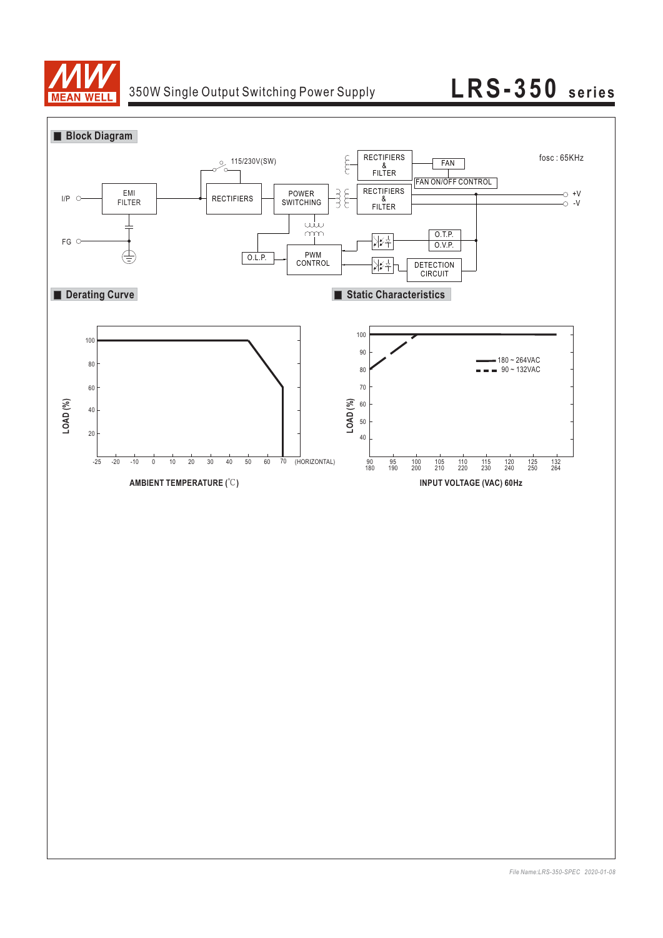

## 350W Single Output Switching Power Supply **LRS-350 series**